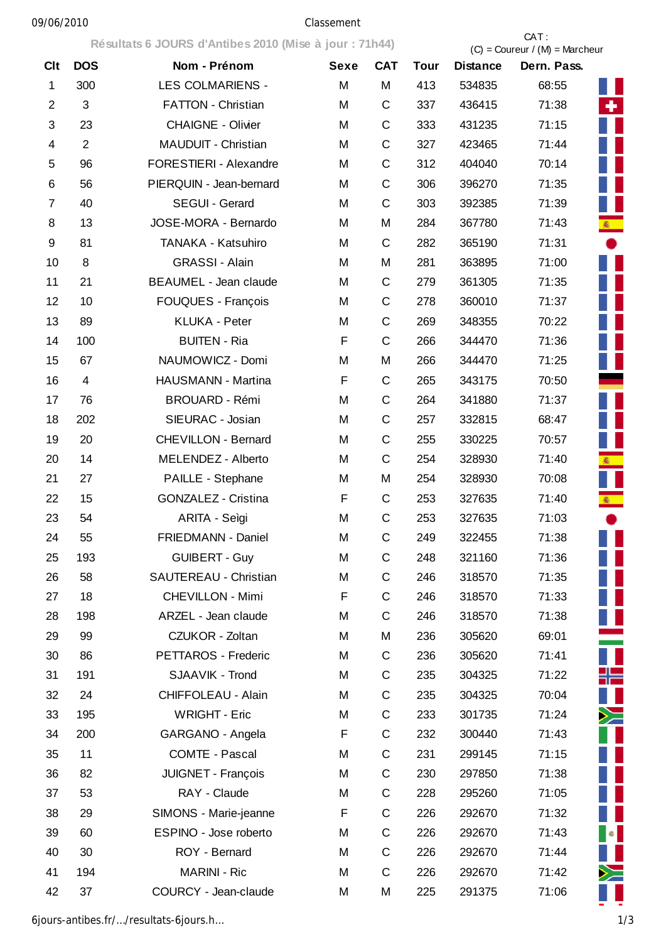## 09/06/2010 Classement

|                |                | Résultats 6 JOURS d'Antibes 2010 (Mise à jour : 71h44) |      |             |      | CAT:<br>$(C) =$ Coureur / $(M) =$ Marcheur |             |            |  |
|----------------|----------------|--------------------------------------------------------|------|-------------|------|--------------------------------------------|-------------|------------|--|
| Clt            | <b>DOS</b>     | Nom - Prénom                                           | Sexe | <b>CAT</b>  | Tour | <b>Distance</b>                            | Dern. Pass. |            |  |
| 1              | 300            | <b>LES COLMARIENS -</b>                                | M    | M           | 413  | 534835                                     | 68:55       |            |  |
| $\overline{2}$ | 3              | <b>FATTON - Christian</b>                              | M    | C           | 337  | 436415                                     | 71:38       | ÷.         |  |
| 3              | 23             | <b>CHAIGNE - Olivier</b>                               | M    | $\mathsf C$ | 333  | 431235                                     | 71:15       |            |  |
| 4              | $\overline{2}$ | <b>MAUDUIT - Christian</b>                             | M    | $\mathsf C$ | 327  | 423465                                     | 71:44       |            |  |
| 5              | 96             | FORESTIERI - Alexandre                                 | M    | $\mathsf C$ | 312  | 404040                                     | 70:14       |            |  |
| 6              | 56             | PIERQUIN - Jean-bernard                                | M    | $\mathsf C$ | 306  | 396270                                     | 71:35       |            |  |
| 7              | 40             | SEGUI - Gerard                                         | M    | $\mathsf C$ | 303  | 392385                                     | 71:39       |            |  |
| 8              | 13             | JOSE-MORA - Bernardo                                   | M    | M           | 284  | 367780                                     | 71:43       | <b>图</b>   |  |
| 9              | 81             | TANAKA - Katsuhiro                                     | M    | C           | 282  | 365190                                     | 71:31       |            |  |
| 10             | 8              | <b>GRASSI - Alain</b>                                  | M    | M           | 281  | 363895                                     | 71:00       |            |  |
| 11             | 21             | <b>BEAUMEL - Jean claude</b>                           | M    | $\mathsf C$ | 279  | 361305                                     | 71:35       |            |  |
| 12             | 10             | <b>FOUQUES - François</b>                              | M    | C           | 278  | 360010                                     | 71:37       |            |  |
| 13             | 89             | <b>KLUKA - Peter</b>                                   | M    | C           | 269  | 348355                                     | 70:22       |            |  |
| 14             | 100            | <b>BUITEN - Ria</b>                                    | F    | $\mathsf C$ | 266  | 344470                                     | 71:36       |            |  |
| 15             | 67             | NAUMOWICZ - Domi                                       | M    | M           | 266  | 344470                                     | 71:25       |            |  |
| 16             | $\overline{4}$ | HAUSMANN - Martina                                     | F    | C           | 265  | 343175                                     | 70:50       |            |  |
| 17             | 76             | <b>BROUARD - Rémi</b>                                  | M    | C           | 264  | 341880                                     | 71:37       |            |  |
| 18             | 202            | SIEURAC - Josian                                       | M    | $\mathsf C$ | 257  | 332815                                     | 68:47       |            |  |
| 19             | 20             | <b>CHEVILLON - Bernard</b>                             | M    | C           | 255  | 330225                                     | 70:57       |            |  |
| 20             | 14             | MELENDEZ - Alberto                                     | M    | $\mathsf C$ | 254  | 328930                                     | 71:40       | <b>秦</b> 1 |  |
| 21             | 27             | PAILLE - Stephane                                      | M    | M           | 254  | 328930                                     | 70:08       |            |  |
| 22             | 15             | <b>GONZALEZ - Cristina</b>                             | F    | $\mathsf C$ | 253  | 327635                                     | 71:40       | 图 :        |  |
| 23             | 54             | ARITA - Seìgi                                          | M    | $\mathsf C$ | 253  | 327635                                     | 71:03       |            |  |
| 24             | 55             | FRIEDMANN - Daniel                                     | M    | C           | 249  | 322455                                     | 71:38       |            |  |
| 25             | 193            | <b>GUIBERT - Guy</b>                                   | M    | $\mathsf C$ | 248  | 321160                                     | 71:36       |            |  |
| 26             | 58             | SAUTEREAU - Christian                                  | M    | $\mathsf C$ | 246  | 318570                                     | 71:35       |            |  |
| 27             | 18             | <b>CHEVILLON - Mimi</b>                                | F    | $\mathsf C$ | 246  | 318570                                     | 71:33       |            |  |
| 28             | 198            | ARZEL - Jean claude                                    | M    | $\mathsf C$ | 246  | 318570                                     | 71:38       |            |  |
| 29             | 99             | CZUKOR - Zoltan                                        | M    | M           | 236  | 305620                                     | 69:01       |            |  |
| 30             | 86             | PETTAROS - Frederic                                    | M    | C           | 236  | 305620                                     | 71:41       |            |  |
| 31             | 191            | SJAAVIK - Trond                                        | M    | C           | 235  | 304325                                     | 71:22       | ╬═         |  |
| 32             | 24             | CHIFFOLEAU - Alain                                     | M    | $\mathsf C$ | 235  | 304325                                     | 70:04       |            |  |
| 33             | 195            | <b>WRIGHT - Eric</b>                                   | M    | C           | 233  | 301735                                     | 71:24       | ≻          |  |
| 34             | 200            | GARGANO - Angela                                       | F    | $\mathsf C$ | 232  | 300440                                     | 71:43       |            |  |
| 35             | 11             | <b>COMTE - Pascal</b>                                  | M    | $\mathsf C$ | 231  | 299145                                     | 71:15       |            |  |
| 36             | 82             | JUIGNET - François                                     | M    | $\mathsf C$ | 230  | 297850                                     | 71:38       |            |  |
| 37             | 53             | RAY - Claude                                           | M    | $\mathsf C$ | 228  | 295260                                     | 71:05       |            |  |
| 38             | 29             | SIMONS - Marie-jeanne                                  | F    | $\mathsf C$ | 226  | 292670                                     | 71:32       |            |  |
| 39             | 60             | ESPINO - Jose roberto                                  | M    | $\mathsf C$ | 226  | 292670                                     | 71:43       | $\bullet$  |  |
| 40             | 30             | ROY - Bernard                                          | M    | $\mathsf C$ | 226  | 292670                                     | 71:44       |            |  |
| 41             | 194            | <b>MARINI - Ric</b>                                    | M    | $\mathsf C$ | 226  | 292670                                     | 71:42       | $\geq$     |  |
| 42             | 37             | COURCY - Jean-claude                                   | M    | M           | 225  | 291375                                     | 71:06       |            |  |

6jours-antibes.fr/…/resultats-6jours.h… 1/3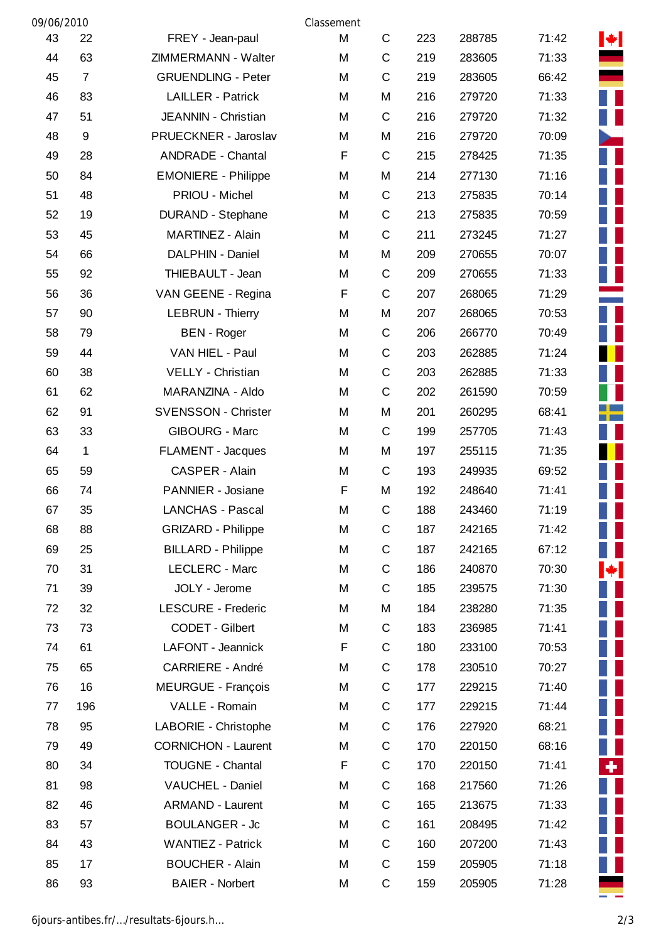| 09/06/2010 |                  |                            | Classement |              |     |        |       |      |
|------------|------------------|----------------------------|------------|--------------|-----|--------|-------|------|
| 43         | 22               | FREY - Jean-paul           | M          | $\mathsf{C}$ | 223 | 288785 | 71:42 | M.   |
| 44         | 63               | ZIMMERMANN - Walter        | M          | $\mathsf C$  | 219 | 283605 | 71:33 |      |
| 45         | 7                | <b>GRUENDLING - Peter</b>  | M          | C            | 219 | 283605 | 66:42 |      |
| 46         | 83               | <b>LAILLER - Patrick</b>   | M          | M            | 216 | 279720 | 71:33 |      |
| 47         | 51               | JEANNIN - Christian        | M          | C            | 216 | 279720 | 71:32 |      |
| 48         | $\boldsymbol{9}$ | PRUECKNER - Jaroslav       | M          | M            | 216 | 279720 | 70:09 |      |
| 49         | 28               | <b>ANDRADE - Chantal</b>   | F          | $\mathsf{C}$ | 215 | 278425 | 71:35 |      |
| 50         | 84               | <b>EMONIERE - Philippe</b> | M          | M            | 214 | 277130 | 71:16 |      |
| 51         | 48               | PRIOU - Michel             | M          | $\mathbf C$  | 213 | 275835 | 70:14 |      |
| 52         | 19               | <b>DURAND - Stephane</b>   | M          | $\mathsf C$  | 213 | 275835 | 70:59 |      |
| 53         | 45               | MARTINEZ - Alain           | M          | C            | 211 | 273245 | 71:27 |      |
| 54         | 66               | DALPHIN - Daniel           | M          | M            | 209 | 270655 | 70:07 |      |
| 55         | 92               | THIEBAULT - Jean           | M          | C            | 209 | 270655 | 71:33 |      |
| 56         | 36               | VAN GEENE - Regina         | F          | $\mathsf{C}$ | 207 | 268065 | 71:29 |      |
| 57         | 90               | <b>LEBRUN - Thierry</b>    | M          | M            | 207 | 268065 | 70:53 |      |
| 58         | 79               | <b>BEN</b> - Roger         | M          | C            | 206 | 266770 | 70:49 |      |
| 59         | 44               | VAN HIEL - Paul            | M          | $\mathsf C$  | 203 | 262885 | 71:24 |      |
| 60         | 38               | VELLY - Christian          | M          | C            | 203 | 262885 | 71:33 |      |
| 61         | 62               | MARANZINA - Aldo           | M          | C            | 202 | 261590 | 70:59 |      |
| 62         | 91               | <b>SVENSSON - Christer</b> | M          | M            | 201 | 260295 | 68:41 |      |
| 63         | 33               | GIBOURG - Marc             | M          | C            | 199 | 257705 | 71:43 |      |
| 64         | $\mathbf 1$      | FLAMENT - Jacques          | M          | M            | 197 | 255115 | 71:35 |      |
| 65         | 59               | CASPER - Alain             | M          | $\mathsf C$  | 193 | 249935 | 69:52 |      |
| 66         | 74               | PANNIER - Josiane          | F          | M            | 192 | 248640 | 71:41 |      |
| 67         | 35               | <b>LANCHAS - Pascal</b>    | M          | $\mathsf C$  | 188 | 243460 | 71:19 |      |
| 68         | 88               | <b>GRIZARD - Philippe</b>  | M          | C            | 187 | 242165 | 71:42 | a ka |
| 69         | 25               | <b>BILLARD - Philippe</b>  | M          | C            | 187 | 242165 | 67:12 |      |
| 70         | 31               | LECLERC - Marc             | M          | C            | 186 | 240870 | 70:30 | H.   |
| 71         | 39               | JOLY - Jerome              | M          | $\mathsf{C}$ | 185 | 239575 | 71:30 |      |
| 72         | 32               | LESCURE - Frederic         | M          | M            | 184 | 238280 | 71:35 | ш    |
| 73         | 73               | CODET - Gilbert            | M          | $\mathsf{C}$ | 183 | 236985 | 71:41 |      |
| 74         | 61               | LAFONT - Jeannick          | F          | $\mathsf{C}$ | 180 | 233100 | 70:53 |      |
| 75         | 65               | <b>CARRIERE - André</b>    | M          | $\mathsf C$  | 178 | 230510 | 70:27 |      |
| 76         | 16               | MEURGUE - François         | M          | C            | 177 | 229215 | 71:40 |      |
| 77         | 196              | VALLE - Romain             | M          | $\mathsf C$  | 177 | 229215 | 71:44 |      |
| 78         | 95               | LABORIE - Christophe       | M          | $\mathsf{C}$ | 176 | 227920 | 68:21 |      |
| 79         | 49               | <b>CORNICHON - Laurent</b> | M          | $\mathsf C$  | 170 | 220150 | 68:16 |      |
| 80         | 34               | <b>TOUGNE - Chantal</b>    | F          | $\mathbf C$  | 170 | 220150 | 71:41 | ٠    |
| 81         | 98               | VAUCHEL - Daniel           | M          | $\mathsf C$  | 168 | 217560 | 71:26 |      |
| 82         | 46               | <b>ARMAND - Laurent</b>    | M          | $\mathsf C$  | 165 | 213675 | 71:33 |      |
| 83         | 57               | <b>BOULANGER - Jc</b>      | M          | C            | 161 | 208495 | 71:42 |      |
| 84         | 43               | <b>WANTIEZ - Patrick</b>   | M          | $\mathsf C$  | 160 | 207200 | 71:43 |      |
| 85         | 17               | <b>BOUCHER - Alain</b>     | M          | $\mathsf C$  | 159 | 205905 | 71:18 |      |
| 86         | 93               | <b>BAIER - Norbert</b>     | M          | $\mathsf C$  | 159 | 205905 | 71:28 |      |